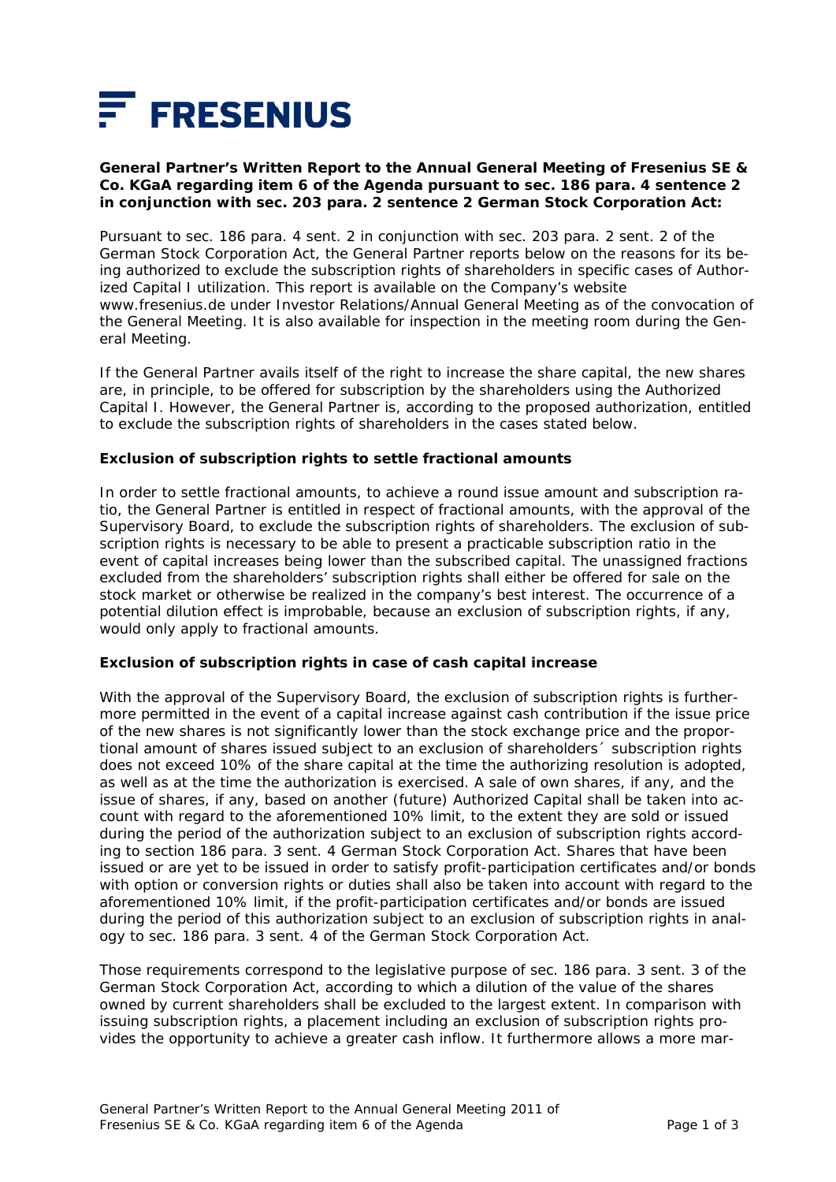

## **General Partner's Written Report to the Annual General Meeting of Fresenius SE & Co. KGaA regarding item 6 of the Agenda pursuant to sec. 186 para. 4 sentence 2 in conjunction with sec. 203 para. 2 sentence 2 German Stock Corporation Act:**

Pursuant to sec. 186 para. 4 sent. 2 in conjunction with sec. 203 para. 2 sent. 2 of the German Stock Corporation Act, the General Partner reports below on the reasons for its being authorized to exclude the subscription rights of shareholders in specific cases of Authorized Capital I utilization. This report is available on the Company's website www.fresenius.de under Investor Relations/Annual General Meeting as of the convocation of the General Meeting. It is also available for inspection in the meeting room during the General Meeting.

If the General Partner avails itself of the right to increase the share capital, the new shares are, in principle, to be offered for subscription by the shareholders using the Authorized Capital I. However, the General Partner is, according to the proposed authorization, entitled to exclude the subscription rights of shareholders in the cases stated below.

### **Exclusion of subscription rights to settle fractional amounts**

In order to settle fractional amounts, to achieve a round issue amount and subscription ratio, the General Partner is entitled in respect of fractional amounts, with the approval of the Supervisory Board, to exclude the subscription rights of shareholders. The exclusion of subscription rights is necessary to be able to present a practicable subscription ratio in the event of capital increases being lower than the subscribed capital. The unassigned fractions excluded from the shareholders' subscription rights shall either be offered for sale on the stock market or otherwise be realized in the company's best interest. The occurrence of a potential dilution effect is improbable, because an exclusion of subscription rights, if any, would only apply to fractional amounts.

### **Exclusion of subscription rights in case of cash capital increase**

With the approval of the Supervisory Board, the exclusion of subscription rights is furthermore permitted in the event of a capital increase against cash contribution if the issue price of the new shares is not significantly lower than the stock exchange price and the proportional amount of shares issued subject to an exclusion of shareholders´ subscription rights does not exceed 10% of the share capital at the time the authorizing resolution is adopted, as well as at the time the authorization is exercised. A sale of own shares, if any, and the issue of shares, if any, based on another (future) Authorized Capital shall be taken into account with regard to the aforementioned 10% limit, to the extent they are sold or issued during the period of the authorization subject to an exclusion of subscription rights according to section 186 para. 3 sent. 4 German Stock Corporation Act. Shares that have been issued or are yet to be issued in order to satisfy profit-participation certificates and/or bonds with option or conversion rights or duties shall also be taken into account with regard to the aforementioned 10% limit, if the profit-participation certificates and/or bonds are issued during the period of this authorization subject to an exclusion of subscription rights in analogy to sec. 186 para. 3 sent. 4 of the German Stock Corporation Act.

Those requirements correspond to the legislative purpose of sec. 186 para. 3 sent. 3 of the German Stock Corporation Act, according to which a dilution of the value of the shares owned by current shareholders shall be excluded to the largest extent. In comparison with issuing subscription rights, a placement including an exclusion of subscription rights provides the opportunity to achieve a greater cash inflow. It furthermore allows a more mar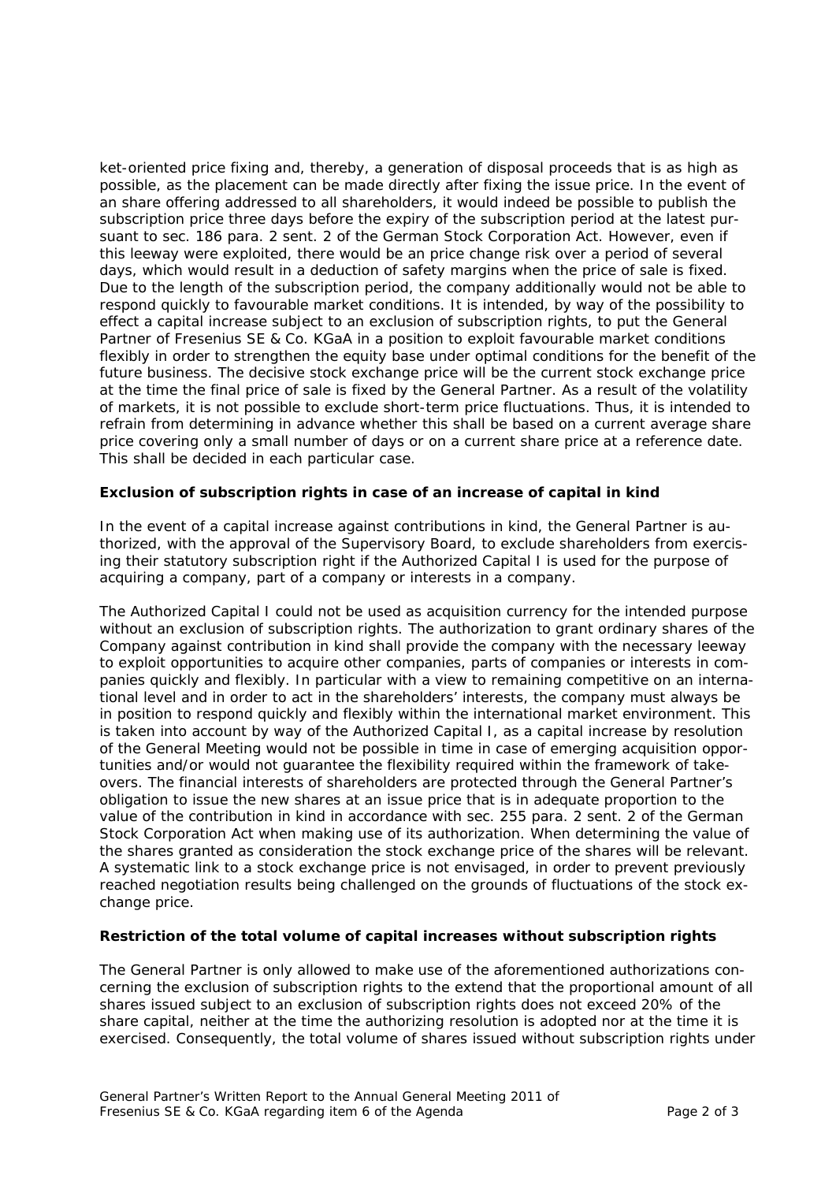ket-oriented price fixing and, thereby, a generation of disposal proceeds that is as high as possible, as the placement can be made directly after fixing the issue price. In the event of an share offering addressed to all shareholders, it would indeed be possible to publish the subscription price three days before the expiry of the subscription period at the latest pursuant to sec. 186 para. 2 sent. 2 of the German Stock Corporation Act. However, even if this leeway were exploited, there would be an price change risk over a period of several days, which would result in a deduction of safety margins when the price of sale is fixed. Due to the length of the subscription period, the company additionally would not be able to respond quickly to favourable market conditions. It is intended, by way of the possibility to effect a capital increase subject to an exclusion of subscription rights, to put the General Partner of Fresenius SE & Co. KGaA in a position to exploit favourable market conditions flexibly in order to strengthen the equity base under optimal conditions for the benefit of the future business. The decisive stock exchange price will be the current stock exchange price at the time the final price of sale is fixed by the General Partner. As a result of the volatility of markets, it is not possible to exclude short-term price fluctuations. Thus, it is intended to refrain from determining in advance whether this shall be based on a current average share price covering only a small number of days or on a current share price at a reference date. This shall be decided in each particular case.

# **Exclusion of subscription rights in case of an increase of capital in kind**

In the event of a capital increase against contributions in kind, the General Partner is authorized, with the approval of the Supervisory Board, to exclude shareholders from exercising their statutory subscription right if the Authorized Capital I is used for the purpose of acquiring a company, part of a company or interests in a company.

The Authorized Capital I could not be used as acquisition currency for the intended purpose without an exclusion of subscription rights. The authorization to grant ordinary shares of the Company against contribution in kind shall provide the company with the necessary leeway to exploit opportunities to acquire other companies, parts of companies or interests in companies quickly and flexibly. In particular with a view to remaining competitive on an international level and in order to act in the shareholders' interests, the company must always be in position to respond quickly and flexibly within the international market environment. This is taken into account by way of the Authorized Capital I, as a capital increase by resolution of the General Meeting would not be possible in time in case of emerging acquisition opportunities and/or would not guarantee the flexibility required within the framework of takeovers. The financial interests of shareholders are protected through the General Partner's obligation to issue the new shares at an issue price that is in adequate proportion to the value of the contribution in kind in accordance with sec. 255 para. 2 sent. 2 of the German Stock Corporation Act when making use of its authorization. When determining the value of the shares granted as consideration the stock exchange price of the shares will be relevant. A systematic link to a stock exchange price is not envisaged, in order to prevent previously reached negotiation results being challenged on the grounds of fluctuations of the stock exchange price.

### **Restriction of the total volume of capital increases without subscription rights**

The General Partner is only allowed to make use of the aforementioned authorizations concerning the exclusion of subscription rights to the extend that the proportional amount of all shares issued subject to an exclusion of subscription rights does not exceed 20% of the share capital, neither at the time the authorizing resolution is adopted nor at the time it is exercised. Consequently, the total volume of shares issued without subscription rights under